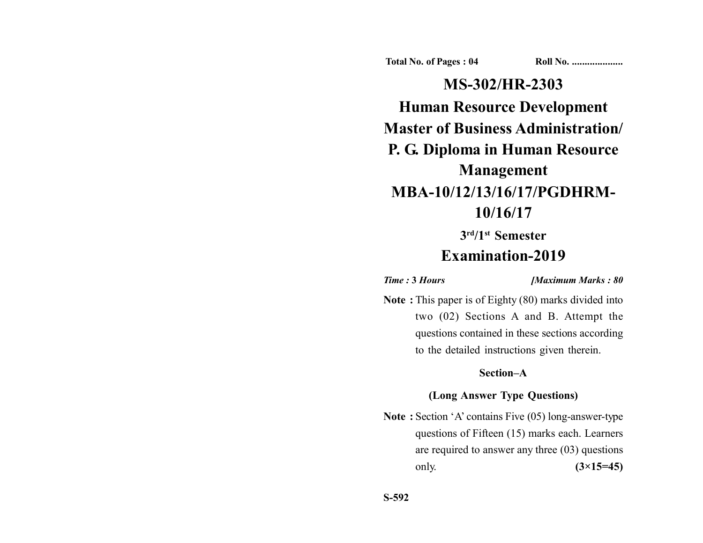**Total No. of Pages : 04 Roll No. ...................** 

**MS-302/HR-2303 Human Resource Development Master of Business Administration/ P. G. Diploma in Human Resource Management MBA-10/12/13/16/17/PGDHRM-10/16/17**

# **3rd/1st Semester Examination-2019**

*Time :* **3** *Hours [Maximum Marks : 80*

**Note :** This paper is of Eighty (80) marks divided into two (02) Sections A and B. Attempt the questions contained in these sections according to the detailed instructions given therein.

# **Section–A**

# **(Long Answer Type Questions)**

**Note :** Section 'A' contains Five (05) long-answer-type questions of Fifteen (15) marks each. Learners are required to answer any three (03) questions only. **(3×15=45)**